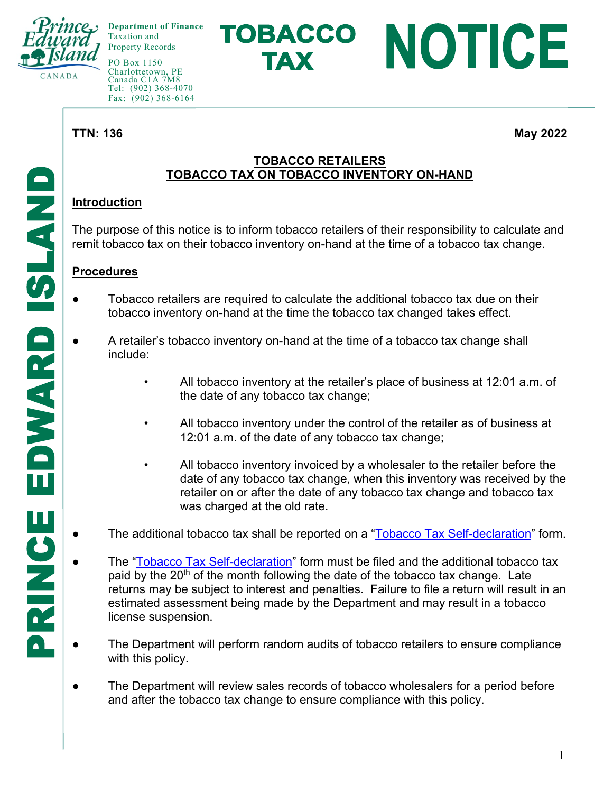

**Department of Finance**  Taxation and Property Records

PO Box 1150 Charlottetown, PE Canada C1A 7M8 Tel: (902) 368-4070 Fax: (902) 368-6164

**TTN: 136 May 2022** 

NOTICE

### **TOBACCO RETAILERS TOBACCO TAX ON TOBACCO INVENTORY ON-HAND**

TOBACCO

**TAX** 

# **Introduction**

The purpose of this notice is to inform tobacco retailers of their responsibility to calculate and remit tobacco tax on their tobacco inventory on-hand at the time of a tobacco tax change.

## **Procedures**

- Tobacco retailers are required to calculate the additional tobacco tax due on their tobacco inventory on-hand at the time the tobacco tax changed takes effect.
- A retailer's tobacco inventory on-hand at the time of a tobacco tax change shall include:
	- All tobacco inventory at the retailer's place of business at 12:01 a.m. of the date of any tobacco tax change;
	- All tobacco inventory under the control of the retailer as of business at 12:01 a.m. of the date of any tobacco tax change;
	- All tobacco inventory invoiced by a wholesaler to the retailer before the date of any tobacco tax change, when this inventory was received by the retailer on or after the date of any tobacco tax change and tobacco tax was charged at the old rate.
- The additional tobacco tax shall be reported on a "Tobacco Tax Self-declaration" form.
- The "Tobacco Tax Self-declaration" form must be filed and the additional tobacco tax paid by the  $20<sup>th</sup>$  of the month following the date of the tobacco tax change. Late returns may be subject to interest and penalties. Failure to file a return will result in an estimated assessment being made by the Department and may result in a tobacco license suspension.
- The Department will perform random audits of tobacco retailers to ensure compliance with this policy.
- The Department will review sales records of tobacco wholesalers for a period before and after the tobacco tax change to ensure compliance with this policy.